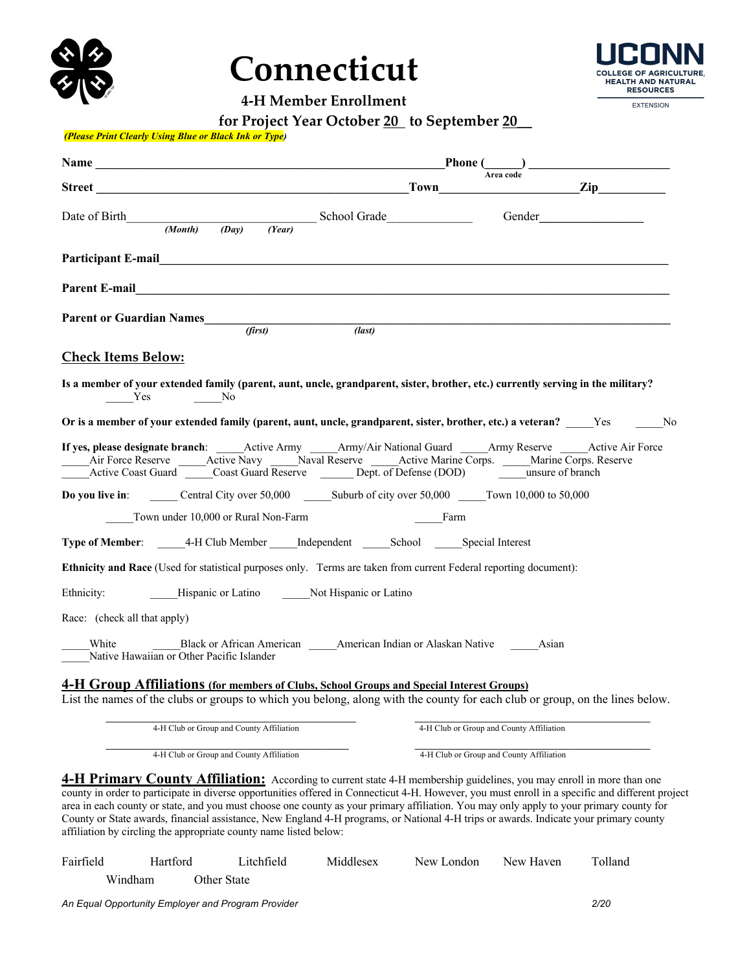

# **Connecticut**

**4-H Member Enrollment**

OLLEGE OF **ACDICUL HEALTH AND NATURAL RESOURCES** 

**EXTENSION** 

| for Project Year October 20 to September 20 |  |
|---------------------------------------------|--|
|---------------------------------------------|--|

#### *(Please Print Clearly Using Blue or Black Ink or Type)*

| Name Phone (2)<br>Street Town Town Zip                                                                                                                                                                                                                                                                                       |                                          |     |
|------------------------------------------------------------------------------------------------------------------------------------------------------------------------------------------------------------------------------------------------------------------------------------------------------------------------------|------------------------------------------|-----|
| Date of Birth $\frac{(Month) (Day) (Year)}{(Year)}$ School Grade                                                                                                                                                                                                                                                             |                                          |     |
| Participant E-mail experience of the contract of the contract of the contract of the contract of the contract of the contract of the contract of the contract of the contract of the contract of the contract of the contract                                                                                                |                                          |     |
|                                                                                                                                                                                                                                                                                                                              |                                          |     |
| Parent or Guardian Names (first) (last)                                                                                                                                                                                                                                                                                      |                                          |     |
| <b>Check Items Below:</b>                                                                                                                                                                                                                                                                                                    |                                          |     |
| Is a member of your extended family (parent, aunt, uncle, grandparent, sister, brother, etc.) currently serving in the military?<br>Yes<br>$\rule{1em}{0.15mm}$ No                                                                                                                                                           |                                          |     |
| Or is a member of your extended family (parent, aunt, uncle, grandparent, sister, brother, etc.) a veteran? Yes                                                                                                                                                                                                              |                                          | No. |
| If yes, please designate branch: ______Active Army ______Army/Air National Guard _____Army Reserve ______Active Air Force<br>Air Force Reserve ______Active Navy ______Naval Reserve ______Active Marine Corps. _____Marine Corps. Reserve<br>Active Coast Guard Coast Guard Reserve Dept. of Defense (DOD) unsure of branch |                                          |     |
| Do you live in: Central City over 50,000 Suburb of city over 50,000 Town 10,000 to 50,000                                                                                                                                                                                                                                    |                                          |     |
| Town under 10,000 or Rural Non-Farm<br><b>Example 18 Service Startup</b> Farm                                                                                                                                                                                                                                                |                                          |     |
| Type of Member: ______4-H Club Member _____ Independent ______School ______Special Interest                                                                                                                                                                                                                                  |                                          |     |
| Ethnicity and Race (Used for statistical purposes only. Terms are taken from current Federal reporting document):                                                                                                                                                                                                            |                                          |     |
| Hispanic or Latino Mot Hispanic or Latino<br>Ethnicity:                                                                                                                                                                                                                                                                      |                                          |     |
| Race: (check all that apply)                                                                                                                                                                                                                                                                                                 |                                          |     |
| Black or African American Manerican Indian or Alaskan Native Masian<br>White<br>Native Hawaiian or Other Pacific Islander                                                                                                                                                                                                    |                                          |     |
| 4-H Group Affiliations (for members of Clubs, School Groups and Special Interest Groups)<br>List the names of the clubs or groups to which you belong, along with the county for each club or group, on the lines below.                                                                                                     |                                          |     |
|                                                                                                                                                                                                                                                                                                                              |                                          |     |
| 4-H Club or Group and County Affiliation                                                                                                                                                                                                                                                                                     | 4-H Club or Group and County Affiliation |     |
| 4-H Club or Group and County Affiliation                                                                                                                                                                                                                                                                                     | 4-H Club or Group and County Affiliation |     |
| 4-H Primary County Affiliation: According to current state 4-H membership guidelines, you may enroll in more than one                                                                                                                                                                                                        |                                          |     |

county in order to participate in diverse opportunities offered in Connecticut 4-H. However, you must enroll in a specific and different project area in each county or state, and you must choose one county as your primary affiliation. You may only apply to your primary county for County or State awards, financial assistance, New England 4-H programs, or National 4-H trips or awards. Indicate your primary county affiliation by circling the appropriate county name listed below:

| Fairfield | <b>Hartford</b>                                    | Litchfield  | Middlesex | New London | New Haven | Tolland |
|-----------|----------------------------------------------------|-------------|-----------|------------|-----------|---------|
|           | Windham                                            | Other State |           |            |           |         |
|           | An Equal Opportunity Employer and Program Provider |             |           |            |           | 2/20    |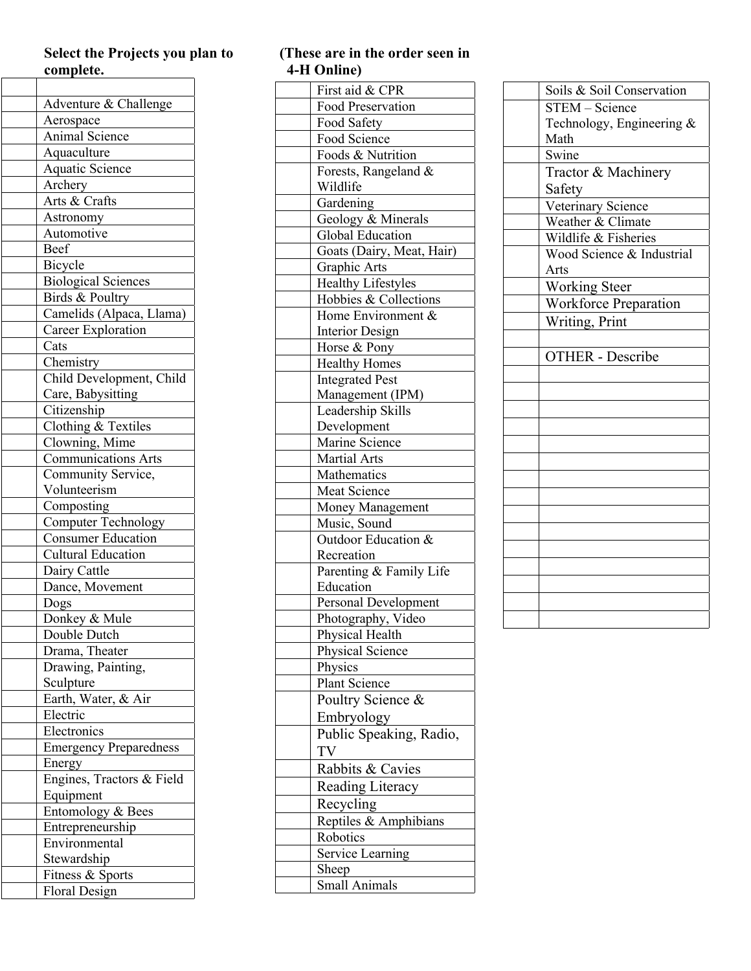#### **Select the Projects you plan to complete.**   $\overline{\phantom{a}}$

| Adventure & Challenge                                   |
|---------------------------------------------------------|
| Aerospace                                               |
| Animal Science                                          |
| Aquaculture                                             |
| <b>Aquatic Science</b>                                  |
| Archery                                                 |
| Arts & Crafts                                           |
| Astronomy                                               |
| Automotive                                              |
| Beef                                                    |
| Bicycle                                                 |
| <b>Biological Sciences</b>                              |
| Birds & Poultry                                         |
| Camelids (Alpaca, Llama)                                |
| Career Exploration                                      |
| Cats                                                    |
| Chemistry                                               |
| Child Development, Child                                |
| Care, Babysitting                                       |
| Citizenship                                             |
| Clothing & Textiles                                     |
| Clowning, Mime                                          |
| <b>Communications Arts</b>                              |
| Community Service,                                      |
| Volunteerism                                            |
| Composting                                              |
|                                                         |
| <b>Computer Technology</b><br><b>Consumer Education</b> |
| <b>Cultural Education</b>                               |
|                                                         |
| Dairy Cattle<br>Dance, Movement                         |
|                                                         |
| Dogs                                                    |
| Donkey & Mule                                           |
| Double Dutch                                            |
| Drama, Theater                                          |
| Drawing, Painting,                                      |
| Sculpture                                               |
| Earth, Water, & Air                                     |
| Electric                                                |
| Electronics                                             |
| <b>Emergency Preparedness</b>                           |
| Energy                                                  |
| Engines, Tractors & Field                               |
| Equipment                                               |
| Entomology & Bees                                       |
| Entrepreneurship                                        |
| Environmental                                           |
| Stewardship                                             |
| Fitness & Sports                                        |
| <b>Floral Design</b>                                    |

## **(These are in the order seen in 4 -H Online)**

| First aid & CPR             |
|-----------------------------|
| Food Preservation           |
| Food Safety                 |
| Food Science                |
| Foods & Nutrition           |
| Forests, Rangeland &        |
| Wildlife                    |
| Gardening                   |
| Geology & Minerals          |
| Global Education            |
| Goats (Dairy, Meat, Hair)   |
| Graphic Arts                |
| <b>Healthy Lifestyles</b>   |
| Hobbies & Collections       |
| Home Environment &          |
| <b>Interior Design</b>      |
| Horse & Pony                |
| <b>Healthy Homes</b>        |
| <b>Integrated Pest</b>      |
| Management (IPM)            |
| Leadership Skills           |
| Development                 |
| Marine Science              |
| <b>Martial Arts</b>         |
| Mathematics                 |
| Meat Science                |
| Money Management            |
| Music, Sound                |
| Outdoor Education &         |
| Recreation                  |
| Parenting & Family Life     |
| Education                   |
| <b>Personal Development</b> |
| Photography, Video          |
| Physical Health             |
| Physical Science            |
| Physics                     |
| Plant Science               |
| Poultry Science &           |
| Embryology                  |
| Public Speaking, Radio,     |
| TV                          |
| Rabbits & Cavies            |
|                             |
| Reading Literacy            |
| Recycling                   |
| Reptiles & Amphibians       |
| Robotics                    |
| Service Learning            |
| Sheep                       |
| Small Animals               |

| Soils & Soil Conservation |
|---------------------------|
| STEM - Science            |
| Technology, Engineering & |
| Math                      |
| Swine                     |
| Tractor & Machinery       |
| Safety                    |
| Veterinary Science        |
| Weather & Climate         |
| Wildlife & Fisheries      |
| Wood Science & Industrial |
| Arts                      |
| <b>Working Steer</b>      |
| Workforce Preparation     |
| Writing, Print            |
|                           |
| <b>OTHER</b> - Describe   |
|                           |
|                           |
|                           |
|                           |
|                           |
|                           |
|                           |
|                           |
|                           |
|                           |
|                           |
|                           |
|                           |
|                           |
|                           |
|                           |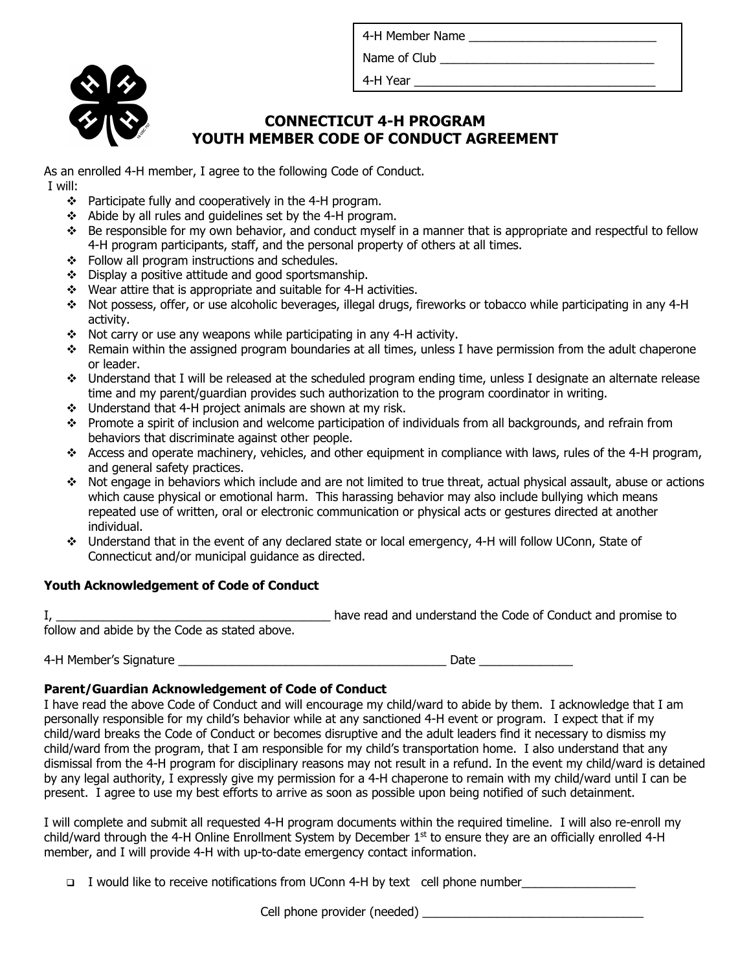4-H Member Name

Name of Club **Example 20** 



4-H Year

## **CONNECTICUT 4-H PROGRAM YOUTH MEMBER CODE OF CONDUCT AGREEMENT**

As an enrolled 4-H member, I agree to the following Code of Conduct. I will:

- \* Participate fully and cooperatively in the 4-H program.
- $\div$  Abide by all rules and guidelines set by the 4-H program.
- $\div$  Be responsible for my own behavior, and conduct myself in a manner that is appropriate and respectful to fellow 4-H program participants, staff, and the personal property of others at all times.
- $\div$  Follow all program instructions and schedules.
- $\div$  Display a positive attitude and good sportsmanship.
- \* Wear attire that is appropriate and suitable for 4-H activities.
- v Not possess, offer, or use alcoholic beverages, illegal drugs, fireworks or tobacco while participating in any 4-H activity.
- $\div$  Not carry or use any weapons while participating in any 4-H activity.
- \* Remain within the assigned program boundaries at all times, unless I have permission from the adult chaperone or leader.
- $\div$  Understand that I will be released at the scheduled program ending time, unless I designate an alternate release time and my parent/guardian provides such authorization to the program coordinator in writing.
- $\div$  Understand that 4-H project animals are shown at my risk.
- v Promote a spirit of inclusion and welcome participation of individuals from all backgrounds, and refrain from behaviors that discriminate against other people.
- $\div$  Access and operate machinery, vehicles, and other equipment in compliance with laws, rules of the 4-H program, and general safety practices.
- $\bullet$  Not engage in behaviors which include and are not limited to true threat, actual physical assault, abuse or actions which cause physical or emotional harm. This harassing behavior may also include bullying which means repeated use of written, oral or electronic communication or physical acts or gestures directed at another individual.
- v Understand that in the event of any declared state or local emergency, 4-H will follow UConn, State of Connecticut and/or municipal guidance as directed.

## **Youth Acknowledgement of Code of Conduct**

I, the code of Conduct and promise to the Code of Conduct and promise to the Code of Conduct and promise to follow and abide by the Code as stated above.

4-H Member's Signature \_\_\_\_\_\_\_\_\_\_\_\_\_\_\_\_\_\_\_\_\_\_\_\_\_\_\_\_\_\_\_\_\_\_\_\_\_\_\_\_ Date \_\_\_\_\_\_\_\_\_\_\_\_\_\_

## **Parent/Guardian Acknowledgement of Code of Conduct**

I have read the above Code of Conduct and will encourage my child/ward to abide by them. I acknowledge that I am personally responsible for my child's behavior while at any sanctioned 4-H event or program. I expect that if my child/ward breaks the Code of Conduct or becomes disruptive and the adult leaders find it necessary to dismiss my child/ward from the program, that I am responsible for my child's transportation home. I also understand that any dismissal from the 4-H program for disciplinary reasons may not result in a refund. In the event my child/ward is detained by any legal authority, I expressly give my permission for a 4-H chaperone to remain with my child/ward until I can be present. I agree to use my best efforts to arrive as soon as possible upon being notified of such detainment.

I will complete and submit all requested 4-H program documents within the required timeline. I will also re-enroll my child/ward through the 4-H Online Enrollment System by December  $1<sup>st</sup>$  to ensure they are an officially enrolled 4-H member, and I will provide 4-H with up-to-date emergency contact information.

q I would like to receive notifications from UConn 4-H by text cell phone number\_\_\_\_\_\_\_\_\_\_\_\_\_\_\_\_\_

Cell phone provider (needed) example and the provider  $($ needed) and the state of  $\sim$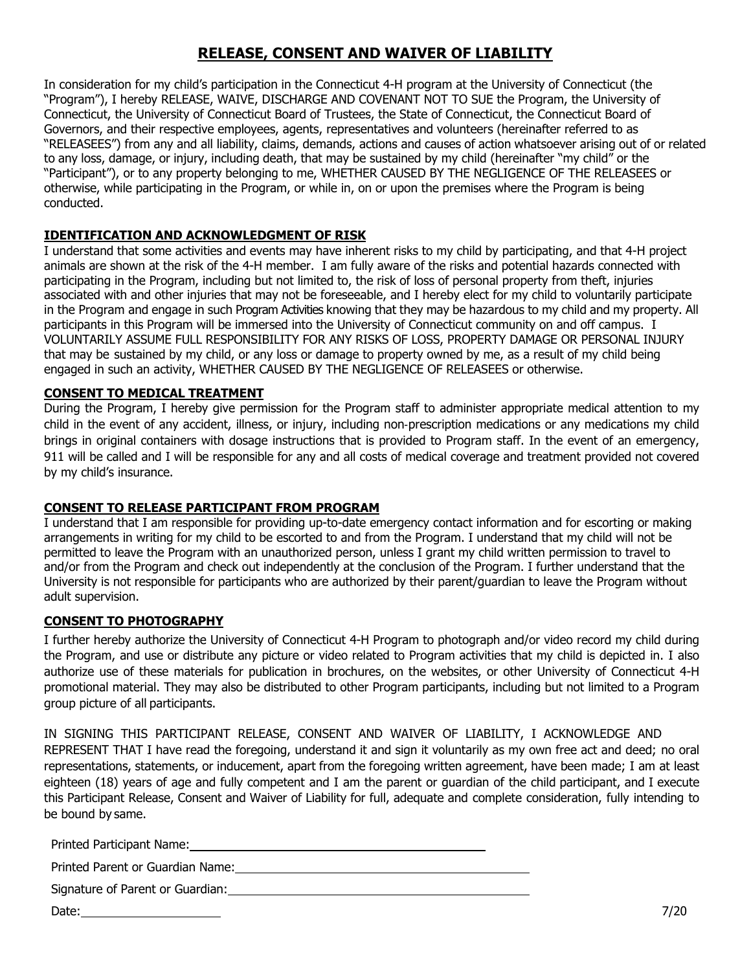## **RELEASE, CONSENT AND WAIVER OF LIABILITY**

In consideration for my child's participation in the Connecticut 4-H program at the University of Connecticut (the "Program"), I hereby RELEASE, WAIVE, DISCHARGE AND COVENANT NOT TO SUE the Program, the University of Connecticut, the University of Connecticut Board of Trustees, the State of Connecticut, the Connecticut Board of Governors, and their respective employees, agents, representatives and volunteers (hereinafter referred to as "RELEASEES") from any and all liability, claims, demands, actions and causes of action whatsoever arising out of or related to any loss, damage, or injury, including death, that may be sustained by my child (hereinafter "my child" or the "Participant"), or to any property belonging to me, WHETHER CAUSED BY THE NEGLIGENCE OF THE RELEASEES or otherwise, while participating in the Program, or while in, on or upon the premises where the Program is being conducted.

## **IDENTIFICATION AND ACKNOWLEDGMENT OF RISK**

I understand that some activities and events may have inherent risks to my child by participating, and that 4-H project animals are shown at the risk of the 4-H member. I am fully aware of the risks and potential hazards connected with participating in the Program, including but not limited to, the risk of loss of personal property from theft, injuries associated with and other injuries that may not be foreseeable, and I hereby elect for my child to voluntarily participate in the Program and engage in such Program Activities knowing that they may be hazardous to my child and my property. All participants in this Program will be immersed into the University of Connecticut community on and off campus. I VOLUNTARILY ASSUME FULL RESPONSIBILITY FOR ANY RISKS OF LOSS, PROPERTY DAMAGE OR PERSONAL INJURY that may be sustained by my child, or any loss or damage to property owned by me, as a result of my child being engaged in such an activity, WHETHER CAUSED BY THE NEGLIGENCE OF RELEASEES or otherwise.

### **CONSENT TO MEDICAL TREATMENT**

During the Program, I hereby give permission for the Program staff to administer appropriate medical attention to my child in the event of any accident, illness, or injury, including non-prescription medications or any medications my child brings in original containers with dosage instructions that is provided to Program staff. In the event of an emergency, 911 will be called and I will be responsible for any and all costs of medical coverage and treatment provided not covered by my child's insurance.

### **CONSENT TO RELEASE PARTICIPANT FROM PROGRAM**

I understand that I am responsible for providing up-to-date emergency contact information and for escorting or making arrangements in writing for my child to be escorted to and from the Program. I understand that my child will not be permitted to leave the Program with an unauthorized person, unless I grant my child written permission to travel to and/or from the Program and check out independently at the conclusion of the Program. I further understand that the University is not responsible for participants who are authorized by their parent/guardian to leave the Program without adult supervision.

### **CONSENT TO PHOTOGRAPHY**

I further hereby authorize the University of Connecticut 4-H Program to photograph and/or video record my child during the Program, and use or distribute any picture or video related to Program activities that my child is depicted in. I also authorize use of these materials for publication in brochures, on the websites, or other University of Connecticut 4-H promotional material. They may also be distributed to other Program participants, including but not limited to a Program group picture of all participants.

IN SIGNING THIS PARTICIPANT RELEASE, CONSENT AND WAIVER OF LIABILITY, I ACKNOWLEDGE AND REPRESENT THAT I have read the foregoing, understand it and sign it voluntarily as my own free act and deed; no oral representations, statements, or inducement, apart from the foregoing written agreement, have been made; I am at least eighteen (18) years of age and fully competent and I am the parent or guardian of the child participant, and I execute this Participant Release, Consent and Waiver of Liability for full, adequate and complete consideration, fully intending to be bound by same.

Printed Participant Name:

Printed Parent or Guardian Name: Mannell Controller Mannell Controller Mannell Controller Mannell Controller

Signature of Parent or Guardian:

Date: 7/20